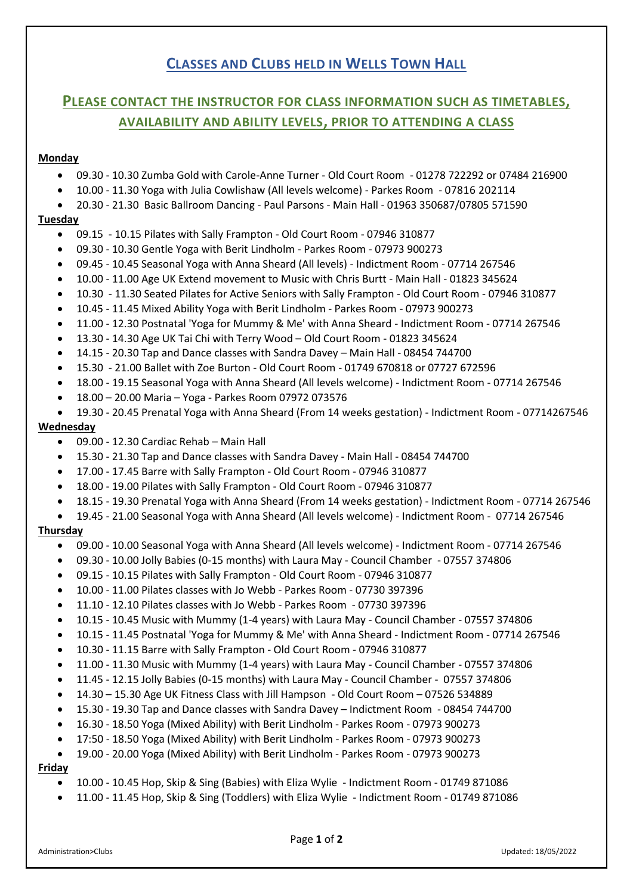# **CLASSES AND CLUBS HELD IN WELLS TOWN HALL**

# **PLEASE CONTACT THE INSTRUCTOR FOR CLASS INFORMATION SUCH AS TIMETABLES, AVAILABILITY AND ABILITY LEVELS, PRIOR TO ATTENDING A CLASS**

### **Monday**

- 09.30 10.30 Zumba Gold with Carole-Anne Turner Old Court Room 01278 722292 or 07484 216900
- 10.00 11.30 Yoga with Julia Cowlishaw (All levels welcome) Parkes Room 07816 202114
- 20.30 21.30 Basic Ballroom Dancing Paul Parsons Main Hall 01963 350687/07805 571590

#### **Tuesday**

- 09.15 10.15 Pilates with Sally Frampton Old Court Room 07946 310877
- 09.30 10.30 Gentle Yoga with Berit Lindholm Parkes Room 07973 900273
- 09.45 10.45 Seasonal Yoga with Anna Sheard (All levels) Indictment Room 07714 267546
- 10.00 11.00 Age UK Extend movement to Music with Chris Burtt Main Hall 01823 345624
- 10.30 11.30 Seated Pilates for Active Seniors with Sally Frampton Old Court Room 07946 310877
- 10.45 11.45 Mixed Ability Yoga with Berit Lindholm Parkes Room 07973 900273
- 11.00 12.30 Postnatal 'Yoga for Mummy & Me' with Anna Sheard Indictment Room 07714 267546
- 13.30 14.30 Age UK Tai Chi with Terry Wood Old Court Room [01823 345624](tel:01823345624)
- 14.15 20.30 Tap and Dance classes with Sandra Davey Main Hall 08454 744700
- 15.30 21.00 Ballet with Zoe Burton Old Court Room 01749 670818 or 07727 672596
- 18.00 19.15 Seasonal Yoga with Anna Sheard (All levels welcome) Indictment Room 07714 267546
- 18.00 20.00 Maria Yoga Parkes Room 07972 073576
- 19.30 20.45 Prenatal Yoga with Anna Sheard (From 14 weeks gestation) Indictment Room 07714267546

## **Wednesday**

- 09.00 12.30 Cardiac Rehab Main Hall
- 15.30 21.30 Tap and Dance classes with Sandra Davey Main Hall 08454 744700
- 17.00 17.45 Barre with Sally Frampton Old Court Room 07946 310877
- 18.00 19.00 Pilates with Sally Frampton Old Court Room 07946 310877
- 18.15 19.30 Prenatal Yoga with Anna Sheard (From 14 weeks gestation) Indictment Room 07714 267546
- 19.45 21.00 Seasonal Yoga with Anna Sheard (All levels welcome) Indictment Room 07714 267546

### **Thursday**

- 09.00 10.00 Seasonal Yoga with Anna Sheard (All levels welcome) Indictment Room 07714 267546
- 09.30 10.00 Jolly Babies (0-15 months) with Laura May Council Chamber 07557 374806
- 09.15 10.15 Pilates with Sally Frampton Old Court Room 07946 310877
- 10.00 11.00 Pilates classes with Jo Webb Parkes Room 07730 397396
- 11.10 12.10 Pilates classes with Jo Webb Parkes Room 07730 397396
- 10.15 10.45 Music with Mummy (1-4 years) with Laura May Council Chamber 07557 374806
- 10.15 11.45 Postnatal 'Yoga for Mummy & Me' with Anna Sheard Indictment Room 07714 267546
- 10.30 11.15 Barre with Sally Frampton Old Court Room 07946 310877
- 11.00 11.30 Music with Mummy (1-4 years) with Laura May Council Chamber 07557 374806
- 11.45 12.15 Jolly Babies (0-15 months) with Laura May Council Chamber 07557 374806
- 14.30 15.30 Age UK Fitness Class with Jill Hampson Old Court Room 07526 534889
- 15.30 19.30 Tap and Dance classes with Sandra Davey Indictment Room 08454 744700
- 16.30 18.50 Yoga (Mixed Ability) with Berit Lindholm Parkes Room 07973 900273
- 17:50 18.50 Yoga (Mixed Ability) with Berit Lindholm Parkes Room 07973 900273
- 19.00 20.00 Yoga (Mixed Ability) with Berit Lindholm Parkes Room 07973 900273

## **Friday**

- 10.00 10.45 Hop, Skip & Sing (Babies) with Eliza Wylie Indictment Room 01749 871086
- 11.00 11.45 Hop, Skip & Sing (Toddlers) with Eliza Wylie Indictment Room 01749 871086